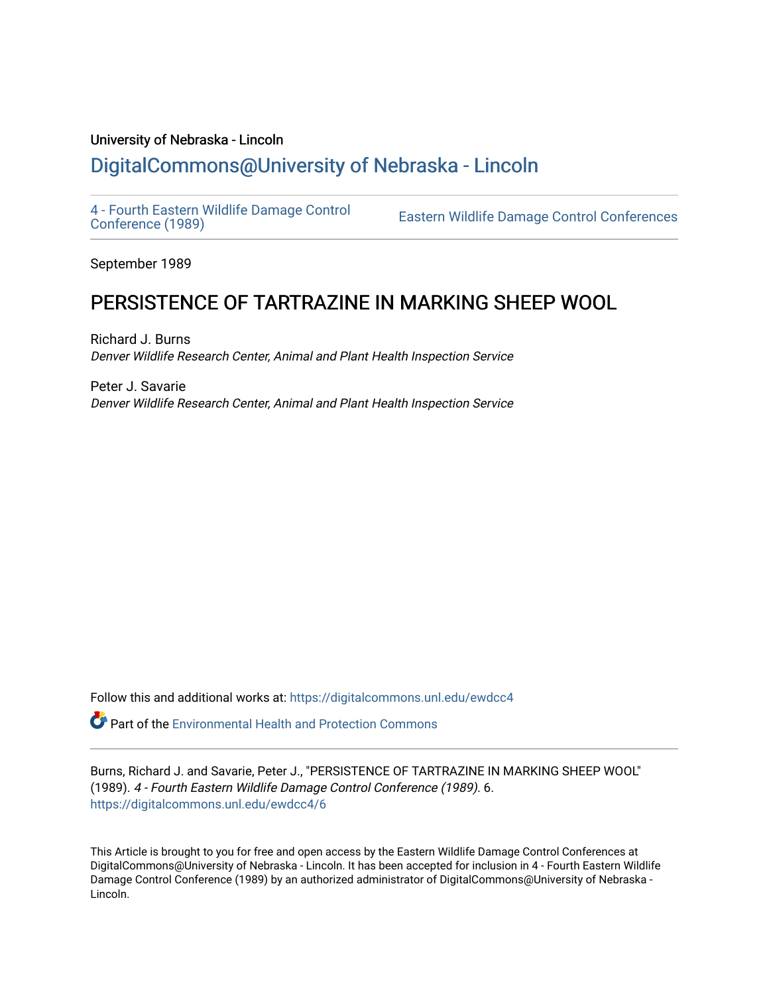## University of Nebraska - Lincoln [DigitalCommons@University of Nebraska - Lincoln](https://digitalcommons.unl.edu/)

[4 - Fourth Eastern Wildlife Damage Control](https://digitalcommons.unl.edu/ewdcc4)

Eastern Wildlife Damage Control Conferences

September 1989

# PERSISTENCE OF TARTRAZINE IN MARKING SHEEP WOOL

Richard J. Burns Denver Wildlife Research Center, Animal and Plant Health Inspection Service

Peter J. Savarie Denver Wildlife Research Center, Animal and Plant Health Inspection Service

Follow this and additional works at: [https://digitalcommons.unl.edu/ewdcc4](https://digitalcommons.unl.edu/ewdcc4?utm_source=digitalcommons.unl.edu%2Fewdcc4%2F6&utm_medium=PDF&utm_campaign=PDFCoverPages)

**P** Part of the Environmental Health and Protection Commons

Burns, Richard J. and Savarie, Peter J., "PERSISTENCE OF TARTRAZINE IN MARKING SHEEP WOOL" (1989). 4 - Fourth Eastern Wildlife Damage Control Conference (1989). 6. [https://digitalcommons.unl.edu/ewdcc4/6](https://digitalcommons.unl.edu/ewdcc4/6?utm_source=digitalcommons.unl.edu%2Fewdcc4%2F6&utm_medium=PDF&utm_campaign=PDFCoverPages) 

This Article is brought to you for free and open access by the Eastern Wildlife Damage Control Conferences at DigitalCommons@University of Nebraska - Lincoln. It has been accepted for inclusion in 4 - Fourth Eastern Wildlife Damage Control Conference (1989) by an authorized administrator of DigitalCommons@University of Nebraska -Lincoln.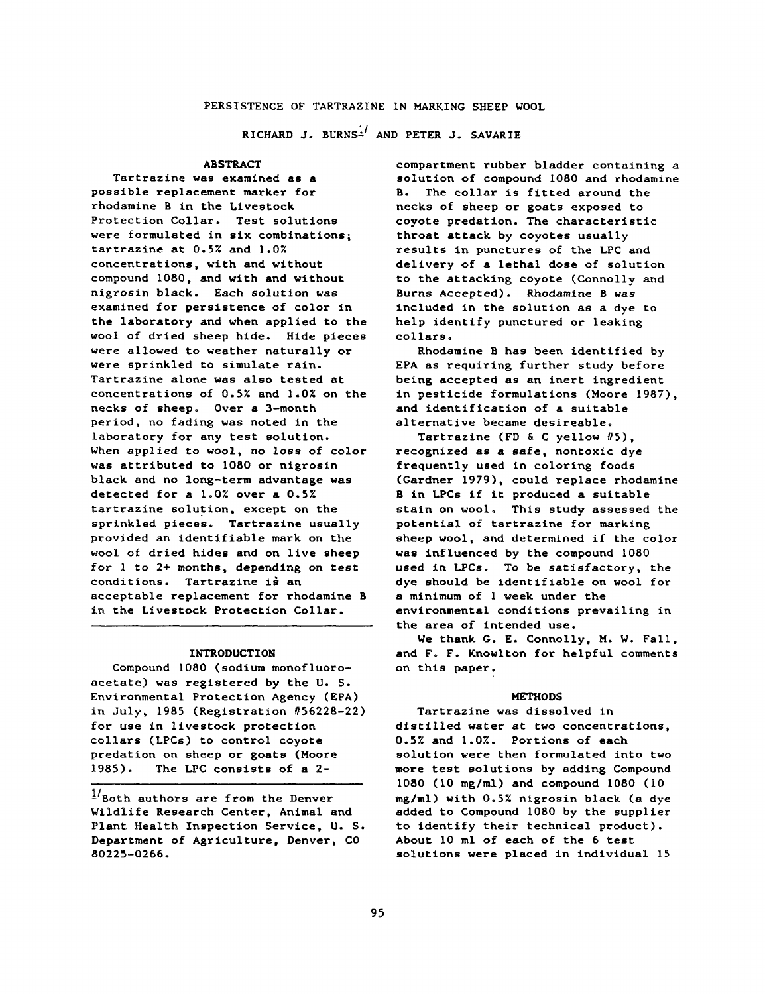RICHARD J. BURNS $^{1/}$  and PETER J. SAVARIE

## ABSTRACT

Tartrazine was examined as a possible replacement marker for rhodamine B in the Livestock Protection Collar. Test solutions were formulated in six combinations; tartrazine at 0.5% and 1.07. concentrations, with and without compound 1080, and with and without nigrosin black. Each solution was examined for persistence of color in the laboratory and when applied to the wool of dried sheep hide. Hide pieces were allowed to weather naturally or were sprinkled to simulate rain. Tartrazine alone was also tested at concentrations of 0.5% and 1.0% on the necks of sheep. Over a 3—month period, no fading was noted in the laboratory for any test solution. When applied to wool, no loss of color was attributed to 1080 or nigrosin black and no long-term advantage was detected for a 1.0% over a 0.5% tartrazine solution, except on the sprinkled pieces. Tartrazine usually provided an identifiable mark on the wool of dried hides and on live sheep for 1 to 2+ months, depending on test conditions. Tartrazine is an acceptable replacement for rhodamine B in the Livestock Protection Collar.

#### INTRODUCTION

Compound 1080 (sodium monofluoroacetate) was registered by the U. S. Environmental Protection Agency (EPA) in July, 1985 (Registration #56228-22) for use in livestock protection collars (LPCs) to control coyote predation on sheep or goats (Moore 1985). The LPC consists of a 2-

 $1/$  Both authors are from the Denver Wildlife Research Center, Animal and Plant Health Inspection Service, U. S. Department of Agriculture, Denver, CO 80225-0266.

compartment rubber bladder containing a solution of compound 1080 and rhodamine B. The collar is fitted around the necks of sheep or goats exposed to coyote predation. The characteristic throat attack by coyotes usually results in punctures of the LPC and delivery of a lethal dose of solution to the attacking coyote (Connolly and Burns Accepted). Rhodamine B was included in the solution as a dye to help identify punctured or leaking collars.

Rhodamine B has been identified by EPA as requiring further study before being accepted as an inert ingredient in pesticide formulations (Moore 1987), and identification of a suitable alternative became desireable.

Tartrazine (FD & C yellow #5), recognized as a safe, nontoxic dye frequently used in coloring foods (Gardner 1979), could replace rhodamine B in LPCs if it produced a suitable stain on wool. This study assessed the potential of tartrazine for marking sheep wool, and determined if the color was influenced by the compound 1080 used in LPCs. To be satisfactory, the dye should be identifiable on wool for a minimum of 1 week under the environmental conditions prevailing in the area of intended use.

We thank G. E. Connolly, M. W. Fall, and F. F. Knowlton for helpful comments on this paper.

#### METHODS

Tartrazine was dissolved in distilled water at two concentrations, 0.5% and 1.0%. Portions of each solution were then formulated into two more test solutions by adding Compound 1080 (10 mg/ml) and compound 1080 (10 mg/ml) with 0.5% nigrosin black (a dye added to Compound 1080 by the supplier to identify their technical product). About 10 ml of each of the 6 test solutions were placed in individual 15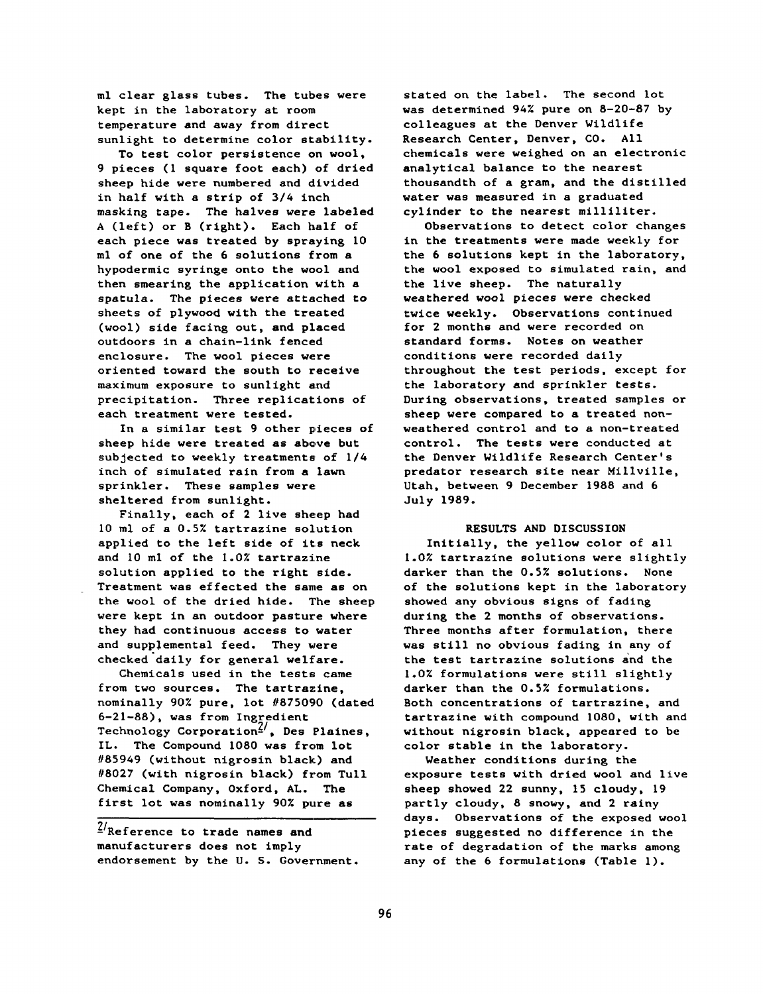**ml clear glass tubes. The tubes were kept in the laboratory at room temperature and away from direct sunlight to determine color stability.**

**To test color persistence on wool, 9 pieces (1 square foot each) of dried sheep hide were numbered and divided in half with a strip of 3/4 inch masking tape. The halves were labeled A (left) or B (right). Each half of each piece was treated by spraying 10 ml of one of the 6 solutions from a hypodermic syringe onto the wool and then smearing the application with a spatula. The pieces were attached to sheets of plywood with the treated (wool) side facing out, and placed outdoors in a chain-link fenced enclosure. The wool pieces were oriented toward the south to receive maximum exposure to sunlight and precipitation. Three replications of each treatment were tested.**

**In a similar test 9 other pieces of sheep hide were treated as above but subjected to weekly treatments of 1/4 inch of simulated rain from a lawn sprinkler. These samples were sheltered from sunlight.**

**Finally, each of 2 live sheep had 10 ml of a 0.5% tartrazine solution applied to the left side of its neck and 10 ml of the 1.0% tartrazine solution applied to the right side. Treatment was effected the same as on the wool of the dried hide. The sheep were kept in an outdoor pasture where they had continuous access to water** and supplemental feed. They were **checked daily for general welfare.**

**Chemicals used in the tests came from two sources. The tartrazine, nominally 90% pure, lot //875090 (dated 6-21-88), was from Ingredient Technology Corporation-', Des Plaines, IL. The Compound 1080 was from lot #85949 (without nigrosin black) and #8027 (with nigrosin black) from Tull Chemical Company, Oxford, AL. The first lot was nominally 90% pure as**

**-Reference to trade names and manufacturers does not imply endorsement by the U. S. Government.**

**stated on the label. The second lot was determined 94% pure on 8-20-87 by colleagues at the Denver Wildlife Research Center, Denver, CO. All chemicals were weighed on an electronic analytical balance to the nearest thousandth of a gram, and the distilled water was measured in a graduated cylinder to the nearest milliliter.**

**Observations to detect color changes in the treatments were made weekly for the 6 solutions kept in the laboratory, the wool exposed to simulated rain, and the live sheep. The naturally weathered wool pieces were checked twice weekly. Observations continued for 2 months and were recorded on standard forms. Notes on weather conditions were recorded daily throughout the test periods, except for the laboratory and sprinkler tests. During observations, treated samples or sheep were compared to a treated nonweathered control and to a non-treated control. The tests were conducted at the Denver Wildlife Research Center's predator research site near Millville, Utah, between 9 December 1988 and 6 July 1989.**

## **RESULTS AND DISCUSSION**

**Initially, the yellow color of all 1.0% tartrazine solutions were slightly darker than the 0.5% solutions. None of the solutions kept in the laboratory showed any obvious signs of fading during the 2 months of observations. Three months after formulation, there was still no obvious fading in any of the test tartrazine solutions and the 1.0% formulations were still slightly darker than the 0.5% formulations. Both concentrations of tartrazine, and tartrazine with compound 1080, with and without nigrosin black, appeared to be color stable in the laboratory.**

**Weather conditions during the exposure tests with dried wool and live sheep showed 22 sunny, 15 cloudy, 19 partly cloudy, 8 snowy, and 2 rainy days. Observations of the exposed wool pieces suggested no difference in the rate of degradation of the marks among any of the 6 formulations (Table 1).**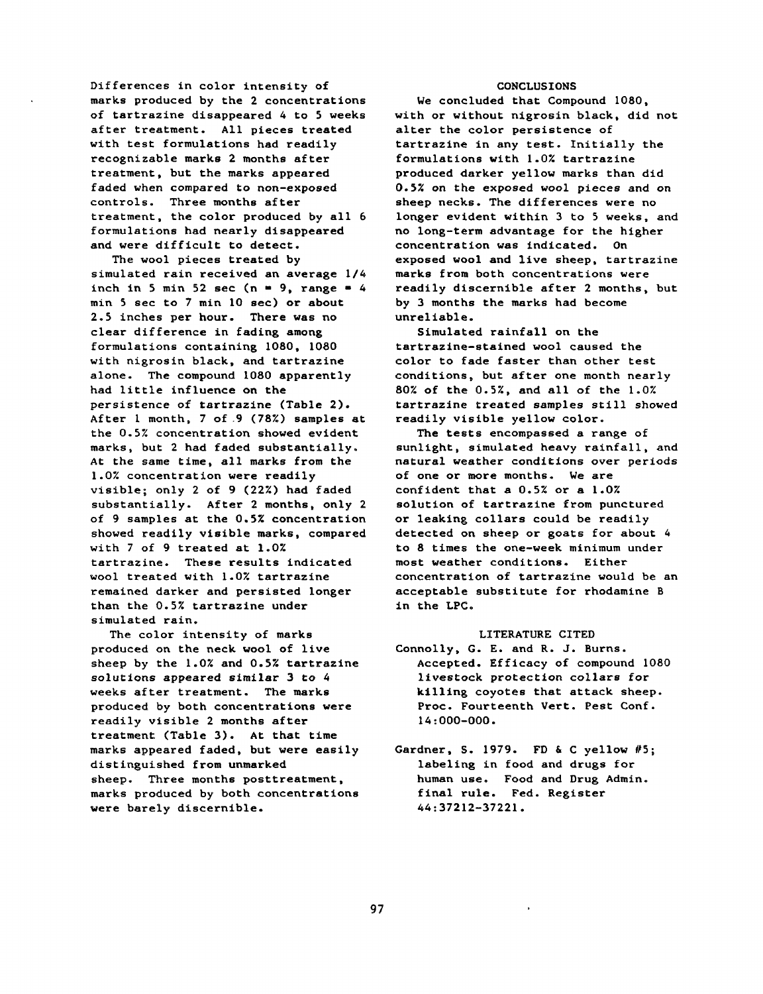**Differences in color intensity of marks produced by the 2 concentrations of tartrazine disappeared 4 to 5 weeks after treatment. All pieces treated with test formulations had readily recognizable marks 2 months after treatment, but the marks appeared faded when compared to non-exposed controls. Three months after treatment, the color produced by all 6 formulations had nearly disappeared and were difficult to detect.**

**The wool pieces treated by simulated rain received an average 1/4** inch in 5 min 52 sec ( $n = 9$ , range = 4 **min 5 sec to 7 min 10 sec) or about 2.5 inches per hour. There was no clear difference in fading among formulations containing 1080, 1080 with nigrosin black, and tartrazine alone. The compound 1080 apparently had little influence on the persistence of tartrazine (Table 2). After 1 month, 7 of .9 (78%) samples at the 0.5% concentration showed evident marks, but 2 had faded substantially. At the same time, all marks from the 1.0% concentration were readily visible; only 2 of 9 (22%) had faded substantially. After 2 months, only 2 of 9 samples at the 0.5% concentration showed readily visible marks, compared with 7 of 9 treated at 1.0% tartrazine. These results indicated wool treated with 1.0% tartrazine remained darker and persisted longer than the 0.5% tartrazine under simulated rain.**

**The color intensity of marks produced on the neck wool of live sheep by the 1.0% and 0.5% tartrazine solutions appeared similar 3 to 4 weeks after treatment. The marks produced by both concentrations were readily visible 2 months after treatment (Table 3). At that time marks appeared faded, but were easily distinguished from unmarked sheep. Three months posttreatment, marks produced by both concentrations were barely discernible.**

## **CONCLUSIONS**

**We concluded that Compound 1080, with or without nigrosin black, did not alter the color persistence of tartrazine in any test. Initially the formulations with 1.0% tartrazine produced darker yellow marks than did 0.5% on the exposed wool pieces and on sheep necks. The differences were no longer evident within 3 to 5 weeks, and no long-term advantage for the higher concentration was indicated. On exposed wool and live sheep, tartrazine marks from both concentrations were readily discernible after 2 months, but by 3 months the marks had become unreliable.**

**Simulated rainfall on the tartrazine-stained wool caused the color to fade faster than other test conditions, but after one month nearly 80% of the 0.5%, and all of the 1.0% tartrazine treated samples still showed readily visible yellow color.**

**The tests encompassed a range of sunlight, simulated heavy rainfall, and natural weather conditions over periods of one or more months. We are confident that a 0.5% or a 1.0% solution of tartrazine from punctured or leaking collars could be readily detected on sheep or goats for about 4 to 8 times the one-week minimum under most weather conditions. Either concentration of tartrazine would be an acceptable substitute for rhodamine B in the LPC.**

## **LITERATURE CITED**

**Connolly, G. E. and R. J. Burns. Accepted. Efficacy of compound 1080 livestock protection collars for killing coyotes that attack sheep. Proc. Fourteenth Vert. Pest Conf. 14:000-000.**

Gardner, S. 1979. FD & C yellow #5; **labeling in food and drugs for human use. Food and Drug Admin, final rule. Fed. Register 44:37212-37221.**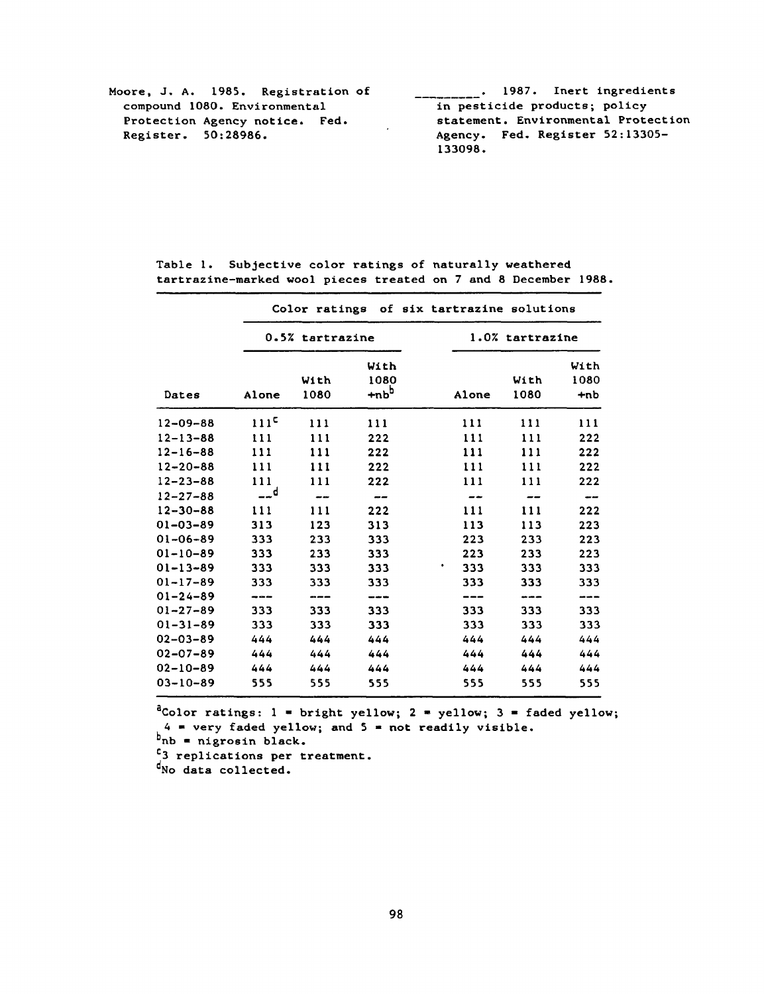| Moore, J. A. 1985. Registration of | . 1987. Inert ingredients           |  |  |  |  |  |
|------------------------------------|-------------------------------------|--|--|--|--|--|
| compound 1080. Environmental       | in pesticide products; policy       |  |  |  |  |  |
| Protection Agency notice. Fed.     | statement. Environmental Protection |  |  |  |  |  |
| Register. 50:28986.                | Agency. Fed. Register 52:13305-     |  |  |  |  |  |
|                                    | 133098.                             |  |  |  |  |  |

|                | Color ratings of six tartrazine solutions |                 |         |                 |      |       |  |  |
|----------------|-------------------------------------------|-----------------|---------|-----------------|------|-------|--|--|
|                |                                           | 0.5% tartrazine |         | 1.0% tartrazine |      |       |  |  |
|                |                                           |                 | With    |                 |      | With  |  |  |
|                |                                           | With            | 1080    |                 | With | 1080  |  |  |
| Dates          | Alone                                     | 1080            | $+nb^b$ | Alone           | 1080 | +nb   |  |  |
| $12 - 09 - 88$ | 111 <sup>c</sup>                          | 111             | 111     | 111             | 111  | 111   |  |  |
| $12 - 13 - 88$ | 111                                       | 111             | 222     | 111             | 111  | 222   |  |  |
| $12 - 16 - 88$ | 111                                       | 111             | 222     | 111             | 111  | 222   |  |  |
| $12 - 20 - 88$ | 111                                       | 111             | 222     | 111             | 111  | 222   |  |  |
| $12 - 23 - 88$ | 111                                       | 111             | 222     | 111             | 111  | 222   |  |  |
| $12 - 27 - 88$ | __d                                       | --              | --      | --              |      | مدبير |  |  |
| $12 - 30 - 88$ | 111                                       | 111             | 222     | 111             | 111  | 222   |  |  |
| $01 - 03 - 89$ | 313                                       | 123             | 313     | 113             | 113  | 223   |  |  |
| $01 - 06 - 89$ | 333                                       | 233             | 333     | 223             | 233  | 223   |  |  |
| $01 - 10 - 89$ | 333                                       | 233             | 333     | 223             | 233  | 223   |  |  |
| $01 - 13 - 89$ | 333                                       | 333             | 333     | 333             | 333  | 333   |  |  |
| $01 - 17 - 89$ | 333                                       | 333             | 333     | 333             | 333  | 333   |  |  |
| $01 - 24 - 89$ |                                           |                 |         |                 |      |       |  |  |
| $01 - 27 - 89$ | 333                                       | 333             | 333     | 333             | 333  | 333   |  |  |
| $01 - 31 - 89$ | 333                                       | 333             | 333     | 333             | 333  | 333   |  |  |
| $02 - 03 - 89$ | 444                                       | 444             | 444     | 444             | 444  | 444   |  |  |
| $02 - 07 - 89$ | 444                                       | 444             | 444     | 444             | 444  | 444   |  |  |
| $02 - 10 - 89$ | 444                                       | 444             | 444     | 444             | 444  | 444   |  |  |
| $03 - 10 - 89$ | 555                                       | 555             | 555     | 555             | 555  | 555   |  |  |

Table 1. Subjective color ratings of naturally weathered tartrazine-marked wool pieces treated on 7 and 8 December 1988.

 $<sup>a</sup>Color ratings: 1 = bright yellow; 2 = yellow; 3 = faded yellow;$ </sup>  $4$  = very faded yellow; and  $5$  = not readily visible.

 $b_{\rm nb}$  = nigrosin black.

 $\frac{c}{3}$  replications per treatment.

d<sub>No</sub> data collected.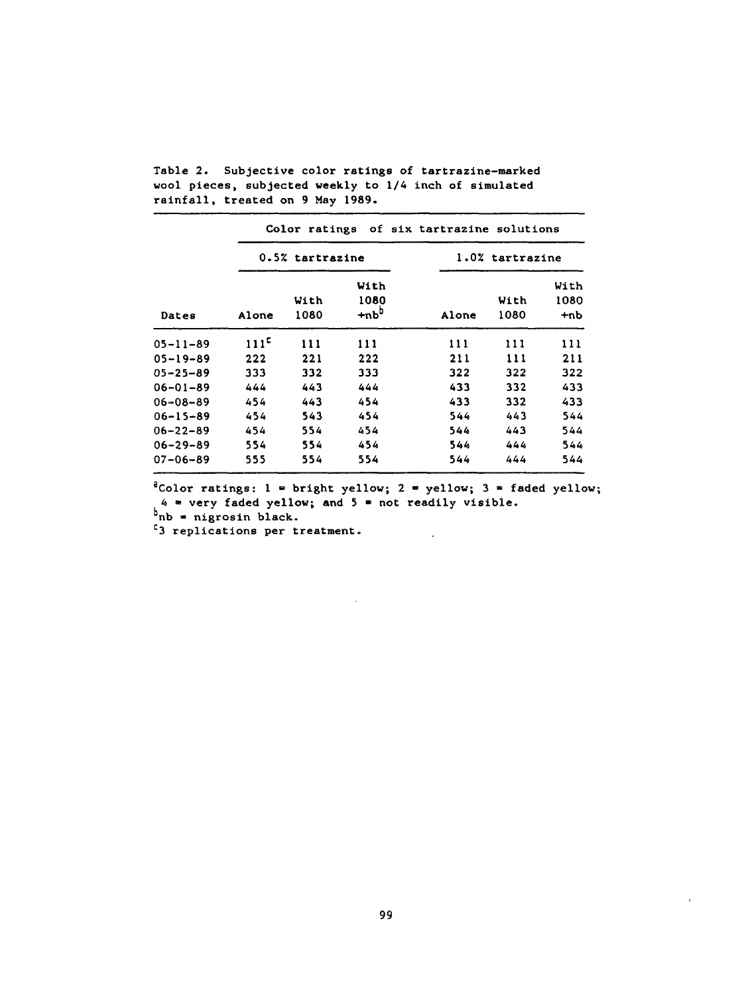| Dates          | Color ratings of six tartrazine solutions |                 |                         |                 |              |                       |  |  |
|----------------|-------------------------------------------|-----------------|-------------------------|-----------------|--------------|-----------------------|--|--|
|                |                                           | 0.5% tartrazine |                         | 1.0% tartrazine |              |                       |  |  |
|                | Alone                                     | With<br>1080    | With<br>1080<br>$+nb^b$ | Alone           | With<br>1080 | With<br>1080<br>$+nb$ |  |  |
| $05 - 11 - 89$ | 111 <sup>c</sup>                          | 111             | 111                     | 111             | 111          | 111                   |  |  |
| $05 - 19 - 89$ | 222                                       | 221             | 222                     | 211             | 111          | 211                   |  |  |
| $05 - 25 - 89$ | 333                                       | 332             | 333                     | 322             | 322          | 322                   |  |  |
| $06 - 01 - 89$ | 444                                       | 443             | 444                     | 433             | 332          | 433                   |  |  |
| $06 - 08 - 89$ | 454                                       | 443             | 454                     | 433             | 332          | 433                   |  |  |
| $06 - 15 - 89$ | 454                                       | 543             | 454                     | 544             | 443          | 544                   |  |  |
| $06 - 22 - 89$ | 454                                       | 554             | 454                     | 544             | 443          | 544                   |  |  |
| $06 - 29 - 89$ | 554                                       | 554             | 454                     | 544             | 444          | 544                   |  |  |
| $07 - 06 - 89$ | 555                                       | 554             | 554                     | 544             | 444          | 544                   |  |  |

Table 2. Subjective color ratings of tartrazine-marked wool pieces, subjected weekly to 1/4 inch of simulated rainfall, treated on 9 May 1989.

 $a^2$ Color ratings: 1 = bright yellow; 2 = yellow; 3 = faded yellow; \* very faded yellow; and  $5$  \* not readily visible.

 $\sim$ 

 $\ddot{\phantom{a}}$ 

 $b_{nb}$  = nigrosin black.

<sup>c</sup>3 replications per treatment.

 $\bar{\mathbf{r}}$